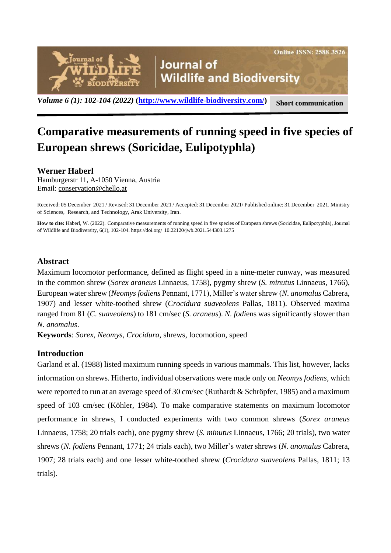

# **Comparative measurements of running speed in five species of European shrews (Soricidae, Eulipotyphla)**

## **Werner Haberl**

Hamburgerstr 11, A-1050 Vienna, Austria Email: [conservation@chello.at](mailto:conservation@chello.at)

Received: 05 December 2021 / Revised: 31 December 2021 / Accepted: 31 December 2021/ Published online: 31 December 2021. Ministry of Sciences, Research, and Technology, Arak University, Iran.

**How to cite:** Haberl, W. (2022). Comparative measurements of running speed in five species of European shrews (Soricidae, Eulipotyphla), Journal of Wildlife and Biodiversity, 6(1), 102-104. https://doi.org/ 10.22120/jwb.2021.544303.1275

## **Abstract**

Maximum locomotor performance, defined as flight speed in a nine-meter runway, was measured in the common shrew (*Sorex araneus* Linnaeus, 1758), pygmy shrew (*S. minutus* Linnaeus, 1766), European water shrew (*Neomys fodiens* Pennant, 1771), Miller's water shrew (*N. anomalus* Cabrera, 1907) and lesser white-toothed shrew (*Crocidura suaveolens* Pallas, 1811). Observed maxima ranged from 81 (*C. suaveolens*) to 181 cm/sec (*S. araneus*). *N. fodi*ens was significantly slower than *N. anomalus*.

**Keywords**: *Sorex*, *Neomys*, *Crocidura*, shrews, locomotion, speed

## **Introduction**

Garland et al. (1988) listed maximum running speeds in various mammals. This list, however, lacks information on shrews. Hitherto, individual observations were made only on *Neomys fodiens*, which were reported to run at an average speed of 30 cm/sec (Ruthardt & Schröpfer, 1985) and a maximum speed of 103 cm/sec (Köhler, 1984). To make comparative statements on maximum locomotor performance in shrews, I conducted experiments with two common shrews (*Sorex araneus* Linnaeus, 1758; 20 trials each), one pygmy shrew (*S. minutus* Linnaeus, 1766; 20 trials), two water shrews (*N. fodiens* Pennant, 1771; 24 trials each), two Miller's water shrews (*N. anomalus* Cabrera, 1907; 28 trials each) and one lesser white-toothed shrew (*Crocidura suaveolens* Pallas, 1811; 13 trials).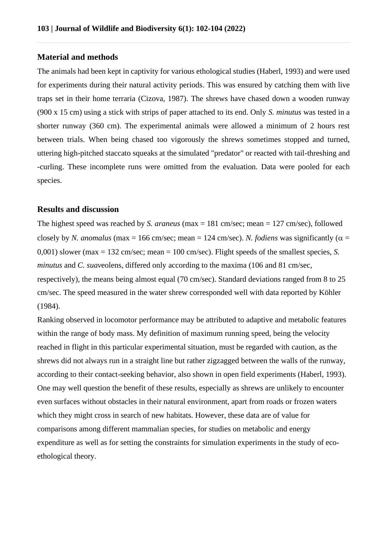#### **Material and methods**

The animals had been kept in captivity for various ethological studies (Haberl, 1993) and were used for experiments during their natural activity periods. This was ensured by catching them with live traps set in their home terraria (Cizova, 1987). The shrews have chased down a wooden runway (900 x 15 cm) using a stick with strips of paper attached to its end. Only *S. minutus* was tested in a shorter runway (360 cm). The experimental animals were allowed a minimum of 2 hours rest between trials. When being chased too vigorously the shrews sometimes stopped and turned, uttering high-pitched staccato squeaks at the simulated "predator" or reacted with tail-threshing and -curling. These incomplete runs were omitted from the evaluation. Data were pooled for each species.

#### **Results and discussion**

The highest speed was reached by *S. araneus* (max = 181 cm/sec; mean = 127 cm/sec), followed closely by *N. anomalus* (max = 166 cm/sec; mean = 124 cm/sec). *N. fodiens* was significantly ( $\alpha$  = 0,001) slower (max = 132 cm/sec; mean = 100 cm/sec). Flight speeds of the smallest species, *S. minutus* and *C. suav*eolens, differed only according to the maxima (106 and 81 cm/sec, respectively), the means being almost equal (70 cm/sec). Standard deviations ranged from 8 to 25 cm/sec. The speed measured in the water shrew corresponded well with data reported by Köhler (1984).

Ranking observed in locomotor performance may be attributed to adaptive and metabolic features within the range of body mass. My definition of maximum running speed, being the velocity reached in flight in this particular experimental situation, must be regarded with caution, as the shrews did not always run in a straight line but rather zigzagged between the walls of the runway, according to their contact-seeking behavior, also shown in open field experiments (Haberl, 1993). One may well question the benefit of these results, especially as shrews are unlikely to encounter even surfaces without obstacles in their natural environment, apart from roads or frozen waters which they might cross in search of new habitats. However, these data are of value for comparisons among different mammalian species, for studies on metabolic and energy expenditure as well as for setting the constraints for simulation experiments in the study of ecoethological theory.